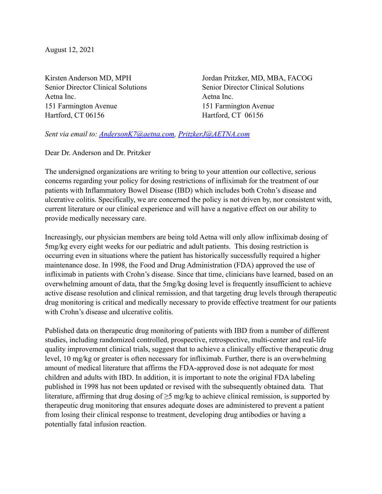August 12, 2021

Aetna Inc. Aetna Inc. 151 Farmington Avenue 151 Farmington Avenue Hartford, CT 06156 Hartford, CT 06156

Kirsten Anderson MD, MPH Jordan Pritzker, MD, MBA, FACOG Senior Director Clinical Solutions Senior Director Clinical Solutions

*Sent via email to: [AndersonK7@aetna.com,](mailto:AndersonK7@aetna.com) [PritzkerJ@AETNA.com](mailto:PritzkerJ@AETNA.com)* 

Dear Dr. Anderson and Dr. Pritzker

The undersigned organizations are writing to bring to your attention our collective, serious concerns regarding your policy for dosing restrictions of infliximab for the treatment of our patients with Inflammatory Bowel Disease (IBD) which includes both Crohn's disease and ulcerative colitis. Specifically, we are concerned the policy is not driven by, nor consistent with, current literature or our clinical experience and will have a negative effect on our ability to provide medically necessary care.

Increasingly, our physician members are being told Aetna will only allow infliximab dosing of 5mg/kg every eight weeks for our pediatric and adult patients. This dosing restriction is occurring even in situations where the patient has historically successfully required a higher maintenance dose. In 1998, the Food and Drug Administration (FDA) approved the use of infliximab in patients with Crohn's disease. Since that time, clinicians have learned, based on an overwhelming amount of data, that the 5mg/kg dosing level is frequently insufficient to achieve active disease resolution and clinical remission, and that targeting drug levels through therapeutic drug monitoring is critical and medically necessary to provide effective treatment for our patients with Crohn's disease and ulcerative colitis.

Published data on therapeutic drug monitoring of patients with IBD from a number of different studies, including randomized controlled, prospective, retrospective, multi-center and real-life quality improvement clinical trials, suggest that to achieve a clinically effective therapeutic drug level, 10 mg/kg or greater is often necessary for infliximab. Further, there is an overwhelming amount of medical literature that affirms the FDA-approved dose is not adequate for most children and adults with IBD. In addition, it is important to note the original FDA labeling published in 1998 has not been updated or revised with the subsequently obtained data. That literature, affirming that drug dosing of ≥5 mg/kg to achieve clinical remission, is supported by therapeutic drug monitoring that ensures adequate doses are administered to prevent a patient from losing their clinical response to treatment, developing drug antibodies or having a potentially fatal infusion reaction.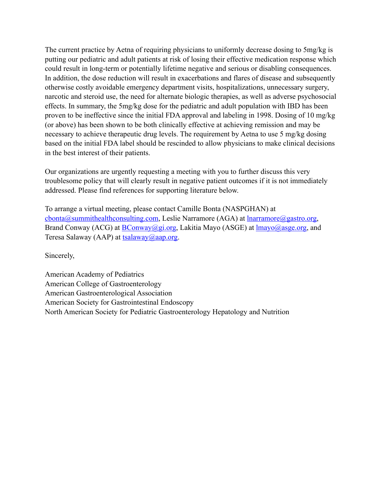The current practice by Aetna of requiring physicians to uniformly decrease dosing to 5mg/kg is putting our pediatric and adult patients at risk of losing their effective medication response which could result in long-term or potentially lifetime negative and serious or disabling consequences. In addition, the dose reduction will result in exacerbations and flares of disease and subsequently otherwise costly avoidable emergency department visits, hospitalizations, unnecessary surgery, narcotic and steroid use, the need for alternate biologic therapies, as well as adverse psychosocial effects. In summary, the 5mg/kg dose for the pediatric and adult population with IBD has been proven to be ineffective since the initial FDA approval and labeling in 1998. Dosing of 10 mg/kg (or above) has been shown to be both clinically effective at achieving remission and may be necessary to achieve therapeutic drug levels. The requirement by Aetna to use 5 mg/kg dosing based on the initial FDA label should be rescinded to allow physicians to make clinical decisions in the best interest of their patients.

Our organizations are urgently requesting a meeting with you to further discuss this very troublesome policy that will clearly result in negative patient outcomes if it is not immediately addressed. Please find references for supporting literature below.

To arrange a virtual meeting, please contact Camille Bonta (NASPGHAN) at [cbonta@summithealthconsulting.com](mailto:cbonta@summithealthconsulting.com), Leslie Narramore (AGA) at <u>lnarramore@gastro.org</u>, Brand Conway (ACG) at [BConway@gi.org](mailto:BConway@gi.org), Lakitia Mayo (ASGE) at [lmayo@asge.org,](mailto:lmayo@asge.org) and Teresa Salaway (AAP) at  $t$ salaway  $(a)$ aap.org.

Sincerely,

American Academy of Pediatrics American College of Gastroenterology American Gastroenterological Association American Society for Gastrointestinal Endoscopy North American Society for Pediatric Gastroenterology Hepatology and Nutrition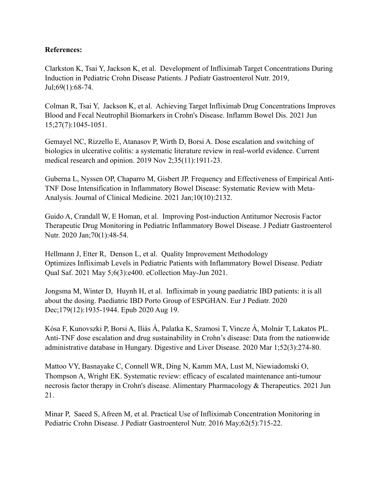## **References:**

Clarkston K, Tsai Y, Jackson K, et al. Development of Infliximab Target Concentrations During Induction in Pediatric Crohn Disease Patients. J Pediatr Gastroenterol Nutr. 2019, Jul;69(1):68-74.

Colman R, Tsai Y, Jackson K, et al. Achieving Target Infliximab Drug Concentrations Improves Blood and Fecal Neutrophil Biomarkers in Crohn's Disease. Inflamm Bowel Dis. 2021 Jun 15;27(7):1045-1051.

Gemayel NC, Rizzello E, Atanasov P, Wirth D, Borsi A. Dose escalation and switching of biologics in ulcerative colitis: a systematic literature review in real-world evidence. Current medical research and opinion. 2019 Nov 2;35(11):1911-23.

Guberna L, Nyssen OP, Chaparro M, Gisbert JP. Frequency and Effectiveness of Empirical Anti-TNF Dose Intensification in Inflammatory Bowel Disease: Systematic Review with Meta-Analysis. Journal of Clinical Medicine. 2021 Jan;10(10):2132.

Guido A, Crandall W, E Homan, et al. Improving Post-induction Antitumor Necrosis Factor Therapeutic Drug Monitoring in Pediatric Inflammatory Bowel Disease. J Pediatr Gastroenterol Nutr. 2020 Jan;70(1):48-54.

Hellmann J, Etter R, Denson L, et al. Quality Improvement Methodology Optimizes Infliximab Levels in Pediatric Patients with Inflammatory Bowel Disease. Pediatr Qual Saf. 2021 May 5;6(3):e400. eCollection May-Jun 2021.

Jongsma M, Winter D, Huynh H, et al. Infliximab in young paediatric IBD patients: it is all about the dosing. Paediatric IBD Porto Group of ESPGHAN. Eur J Pediatr. 2020 Dec;179(12):1935-1944. Epub 2020 Aug 19.

Kósa F, Kunovszki P, Borsi A, Iliás Á, Palatka K, Szamosi T, Vincze Á, Molnár T, Lakatos PL. Anti-TNF dose escalation and drug sustainability in Crohn's disease: Data from the nationwide administrative database in Hungary. Digestive and Liver Disease. 2020 Mar 1;52(3):274-80.

Mattoo VY, Basnayake C, Connell WR, Ding N, Kamm MA, Lust M, Niewiadomski O, Thompson A, Wright EK. Systematic review: efficacy of escalated maintenance anti-tumour necrosis factor therapy in Crohn's disease. Alimentary Pharmacology & Therapeutics. 2021 Jun 21.

Minar P, Saeed S, Afreen M, et al. Practical Use of Infliximab Concentration Monitoring in Pediatric Crohn Disease. J Pediatr Gastroenterol Nutr. 2016 May;62(5):715-22.